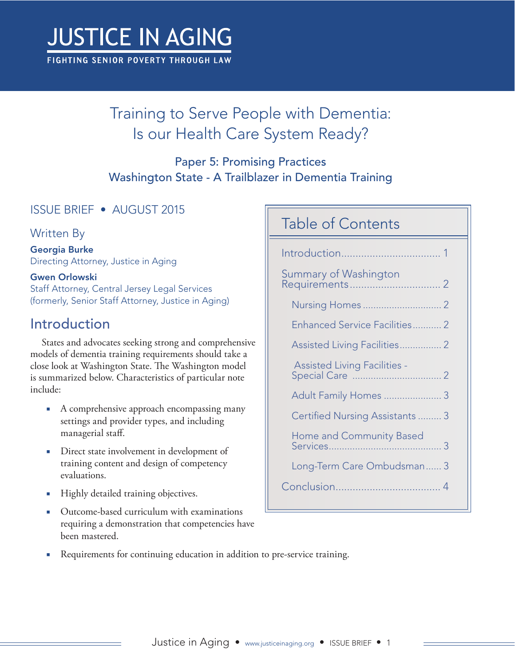# **JUSTICE IN AGING**

FIGHTING SENIOR POVERTY THROUGH LAW

# Training to Serve People with Dementia: Is our Health Care System Ready?

#### Paper 5: Promising Practices Washington State - A Trailblazer in Dementia Training

#### ISSUE BRIEF • AUGUST 2015

#### Written By

Georgia Burke Directing Attorney, Justice in Aging

#### Gwen Orlowski

Staff Attorney, Central Jersey Legal Services (formerly, Senior Staff Attorney, Justice in Aging)

## Introduction

States and advocates seeking strong and comprehensive models of dementia training requirements should take a close look at Washington State. The Washington model is summarized below. Characteristics of particular note include:

- A comprehensive approach encompassing many settings and provider types, and including managerial staff.
- Direct state involvement in development of training content and design of competency evaluations.
- Highly detailed training objectives.
- Outcome-based curriculum with examinations requiring a demonstration that competencies have been mastered.

#### Table of Contents

| Summary of Washington |                                      |  |
|-----------------------|--------------------------------------|--|
|                       |                                      |  |
|                       | <b>Enhanced Service Facilities 2</b> |  |
|                       | Assisted Living Facilities 2         |  |
|                       | <b>Assisted Living Facilities -</b>  |  |
|                       | Adult Family Homes  3                |  |
|                       | Certified Nursing Assistants  3      |  |
|                       | Home and Community Based             |  |
|                       | Long-Term Care Ombudsman 3           |  |
|                       |                                      |  |

Requirements for continuing education in addition to pre-service training.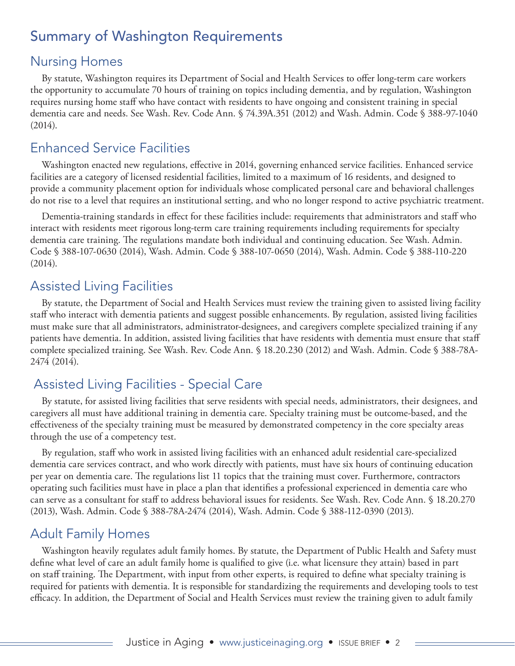#### <span id="page-1-0"></span>Summary of Washington Requirements

#### Nursing Homes

By statute, Washington requires its Department of Social and Health Services to offer long-term care workers the opportunity to accumulate 70 hours of training on topics including dementia, and by regulation, Washington requires nursing home staff who have contact with residents to have ongoing and consistent training in special dementia care and needs. See Wash. Rev. Code Ann. § 74.39A.351 (2012) and Wash. Admin. Code § 388-97-1040 (2014).

#### Enhanced Service Facilities

Washington enacted new regulations, effective in 2014, governing enhanced service facilities. Enhanced service facilities are a category of licensed residential facilities, limited to a maximum of 16 residents, and designed to provide a community placement option for individuals whose complicated personal care and behavioral challenges do not rise to a level that requires an institutional setting, and who no longer respond to active psychiatric treatment.

Dementia-training standards in effect for these facilities include: requirements that administrators and staff who interact with residents meet rigorous long-term care training requirements including requirements for specialty dementia care training. The regulations mandate both individual and continuing education. See Wash. Admin. Code § 388-107-0630 (2014), Wash. Admin. Code § 388-107-0650 (2014), Wash. Admin. Code § 388-110-220 (2014).

#### Assisted Living Facilities

By statute, the Department of Social and Health Services must review the training given to assisted living facility staff who interact with dementia patients and suggest possible enhancements. By regulation, assisted living facilities must make sure that all administrators, administrator-designees, and caregivers complete specialized training if any patients have dementia. In addition, assisted living facilities that have residents with dementia must ensure that staff complete specialized training. See Wash. Rev. Code Ann. § 18.20.230 (2012) and Wash. Admin. Code § 388-78A-2474 (2014).

#### Assisted Living Facilities - Special Care

By statute, for assisted living facilities that serve residents with special needs, administrators, their designees, and caregivers all must have additional training in dementia care. Specialty training must be outcome-based, and the effectiveness of the specialty training must be measured by demonstrated competency in the core specialty areas through the use of a competency test.

By regulation, staff who work in assisted living facilities with an enhanced adult residential care-specialized dementia care services contract, and who work directly with patients, must have six hours of continuing education per year on dementia care. The regulations list 11 topics that the training must cover. Furthermore, contractors operating such facilities must have in place a plan that identifies a professional experienced in dementia care who can serve as a consultant for staff to address behavioral issues for residents. See Wash. Rev. Code Ann. § 18.20.270 (2013), Wash. Admin. Code § 388-78A-2474 (2014), Wash. Admin. Code § 388-112-0390 (2013).

#### Adult Family Homes

Washington heavily regulates adult family homes. By statute, the Department of Public Health and Safety must define what level of care an adult family home is qualified to give (i.e. what licensure they attain) based in part on staff training. The Department, with input from other experts, is required to define what specialty training is required for patients with dementia. It is responsible for standardizing the requirements and developing tools to test efficacy. In addition, the Department of Social and Health Services must review the training given to adult family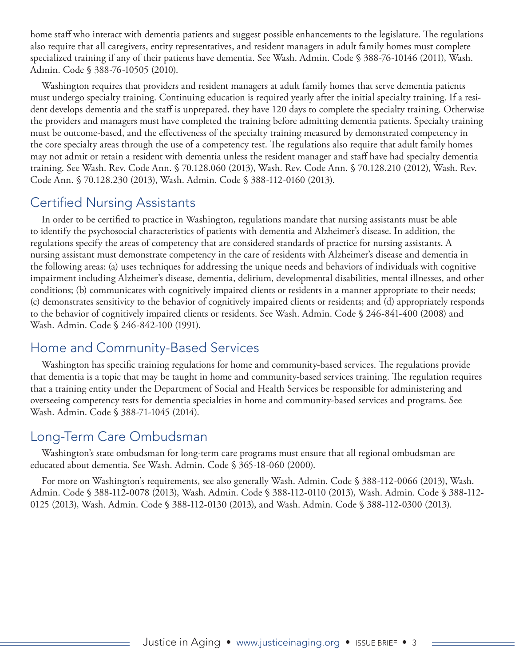<span id="page-2-0"></span>home staff who interact with dementia patients and suggest possible enhancements to the legislature. The regulations also require that all caregivers, entity representatives, and resident managers in adult family homes must complete specialized training if any of their patients have dementia. See Wash. Admin. Code § 388-76-10146 (2011), Wash. Admin. Code § 388-76-10505 (2010).

Washington requires that providers and resident managers at adult family homes that serve dementia patients must undergo specialty training. Continuing education is required yearly after the initial specialty training. If a resident develops dementia and the staff is unprepared, they have 120 days to complete the specialty training. Otherwise the providers and managers must have completed the training before admitting dementia patients. Specialty training must be outcome-based, and the effectiveness of the specialty training measured by demonstrated competency in the core specialty areas through the use of a competency test. The regulations also require that adult family homes may not admit or retain a resident with dementia unless the resident manager and staff have had specialty dementia training. See Wash. Rev. Code Ann. § 70.128.060 (2013), Wash. Rev. Code Ann. § 70.128.210 (2012), Wash. Rev. Code Ann. § 70.128.230 (2013), Wash. Admin. Code § 388-112-0160 (2013).

#### Certified Nursing Assistants

In order to be certified to practice in Washington, regulations mandate that nursing assistants must be able to identify the psychosocial characteristics of patients with dementia and Alzheimer's disease. In addition, the regulations specify the areas of competency that are considered standards of practice for nursing assistants. A nursing assistant must demonstrate competency in the care of residents with Alzheimer's disease and dementia in the following areas: (a) uses techniques for addressing the unique needs and behaviors of individuals with cognitive impairment including Alzheimer's disease, dementia, delirium, developmental disabilities, mental illnesses, and other conditions; (b) communicates with cognitively impaired clients or residents in a manner appropriate to their needs; (c) demonstrates sensitivity to the behavior of cognitively impaired clients or residents; and (d) appropriately responds to the behavior of cognitively impaired clients or residents. See Wash. Admin. Code § 246-841-400 (2008) and Wash. Admin. Code § 246-842-100 (1991).

#### Home and Community-Based Services

Washington has specific training regulations for home and community-based services. The regulations provide that dementia is a topic that may be taught in home and community-based services training. The regulation requires that a training entity under the Department of Social and Health Services be responsible for administering and overseeing competency tests for dementia specialties in home and community-based services and programs. See Wash. Admin. Code § 388-71-1045 (2014).

#### Long-Term Care Ombudsman

Washington's state ombudsman for long-term care programs must ensure that all regional ombudsman are educated about dementia. See Wash. Admin. Code § 365-18-060 (2000).

For more on Washington's requirements, see also generally Wash. Admin. Code § 388-112-0066 (2013), Wash. Admin. Code § 388-112-0078 (2013), Wash. Admin. Code § 388-112-0110 (2013), Wash. Admin. Code § 388-112- 0125 (2013), Wash. Admin. Code § 388-112-0130 (2013), and Wash. Admin. Code § 388-112-0300 (2013).